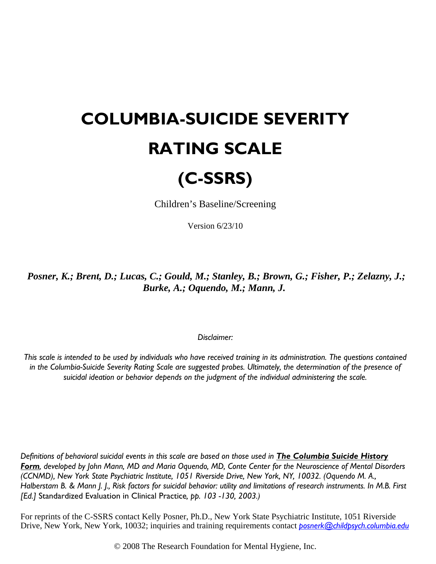## **COLUMBIA-SUICIDE SEVERITY RATING SCALE**

## **(C-SSRS)**

Children's Baseline/Screening

Version 6/23/10

*Posner, K.; Brent, D.; Lucas, C.; Gould, M.; Stanley, B.; Brown, G.; Fisher, P.; Zelazny, J.; Burke, A.; Oquendo, M.; Mann, J.*

*Disclaimer:* 

*This scale is intended to be used by individuals who have received training in its administration. The questions contained in the Columbia-Suicide Severity Rating Scale are suggested probes. Ultimately, the determination of the presence of suicidal ideation or behavior depends on the judgment of the individual administering the scale.* 

*Definitions of behavioral suicidal events in this scale are based on those used in The Columbia Suicide History Form, developed by John Mann, MD and Maria Oquendo, MD, Conte Center for the Neuroscience of Mental Disorders (CCNMD), New York State Psychiatric Institute, 1051 Riverside Drive, New York, NY, 10032. (Oquendo M. A., Halberstam B. & Mann J. J., Risk factors for suicidal behavior: utility and limitations of research instruments. In M.B. First [Ed.]* Standardized Evaluation in Clinical Practice*, pp. 103 -130, 2003.)* 

For reprints of the C-SSRS contact Kelly Posner, Ph.D., New York State Psychiatric Institute, 1051 Riverside Drive, New York, New York, 10032; inquiries and training requirements contact *[posnerk@childpsych.columbia.edu](mailto:posnerk@childpsych.columbia.edu)*

© 2008 The Research Foundation for Mental Hygiene, Inc.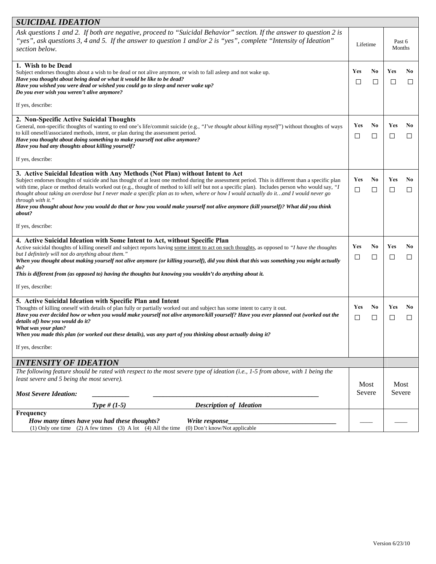| SUICIDAL IDEATION                                                                                                                                                                                                                                                                                                                                                                                                                                                                                                                                                                                                                                                                                                      |                |                          |                  |                     |
|------------------------------------------------------------------------------------------------------------------------------------------------------------------------------------------------------------------------------------------------------------------------------------------------------------------------------------------------------------------------------------------------------------------------------------------------------------------------------------------------------------------------------------------------------------------------------------------------------------------------------------------------------------------------------------------------------------------------|----------------|--------------------------|------------------|---------------------|
| Ask questions 1 and 2. If both are negative, proceed to "Suicidal Behavior" section. If the answer to question 2 is<br>"yes", ask questions 3, 4 and 5. If the answer to question 1 and/or 2 is "yes", complete "Intensity of Ideation"<br>section below.                                                                                                                                                                                                                                                                                                                                                                                                                                                              | Lifetime       |                          | Past 6<br>Months |                     |
| 1. Wish to be Dead<br>Subject endorses thoughts about a wish to be dead or not alive anymore, or wish to fall asleep and not wake up.<br>Have you thought about being dead or what it would be like to be dead?<br>Have you wished you were dead or wished you could go to sleep and never wake up?<br>Do you ever wish you weren't alive anymore?<br>If yes, describe:                                                                                                                                                                                                                                                                                                                                                | Yes<br>$\Box$  | No<br>□                  | Yes<br>$\Box$    | No<br>$\Box$        |
| 2. Non-Specific Active Suicidal Thoughts<br>General, non-specific thoughts of wanting to end one's life/commit suicide (e.g., "I've thought about killing myself") without thoughts of ways<br>to kill oneself/associated methods, intent, or plan during the assessment period.<br>Have you thought about doing something to make yourself not alive anymore?<br>Have you had any thoughts about killing yourself?<br>If yes, describe:                                                                                                                                                                                                                                                                               | Yes<br>⊔       | No<br>□                  | Yes<br>ப         | N <sub>0</sub><br>⊔ |
| 3. Active Suicidal Ideation with Any Methods (Not Plan) without Intent to Act<br>Subject endorses thoughts of suicide and has thought of at least one method during the assessment period. This is different than a specific plan<br>with time, place or method details worked out (e.g., thought of method to kill self but not a specific plan). Includes person who would say, "I<br>thought about taking an overdose but I never made a specific plan as to when, where or how I would actually do itand I would never go<br>through with it."<br>Have you thought about how you would do that or how you would make yourself not alive anymore (kill yourself)? What did you think<br>about?<br>If yes, describe: | Yes<br>□       | N <sub>0</sub><br>$\Box$ | Yes<br>$\Box$    | No<br>□             |
| 4. Active Suicidal Ideation with Some Intent to Act, without Specific Plan<br>Active suicidal thoughts of killing oneself and subject reports having some intent to act on such thoughts, as opposed to "I have the thoughts<br>but I definitely will not do anything about them."<br>When you thought about making yourself not alive anymore (or killing yourself), did you think that this was something you might actually<br>do?<br>This is different from (as opposed to) having the thoughts but knowing you wouldn't do anything about it.<br>If yes, describe:                                                                                                                                                | Yes<br>⊔       | No<br>□                  | Yes<br>ப         | No<br>⊔             |
| 5. Active Suicidal Ideation with Specific Plan and Intent<br>Thoughts of killing oneself with details of plan fully or partially worked out and subject has some intent to carry it out.<br>Have you ever decided how or when you would make yourself not alive anymore/kill yourself? Have you ever planned out (worked out the<br>details of) how you would do it?<br>What was your plan?<br>When you made this plan (or worked out these details), was any part of you thinking about actually doing it?<br>If yes, describe:                                                                                                                                                                                       | Yes<br>□       | N <sub>0</sub><br>□      | Yes<br>ப         | No<br>$\Box$        |
| <b>INTENSITY OF IDEATION</b>                                                                                                                                                                                                                                                                                                                                                                                                                                                                                                                                                                                                                                                                                           |                |                          |                  |                     |
| The following feature should be rated with respect to the most severe type of ideation (i.e., 1-5 from above, with 1 being the<br>least severe and 5 being the most severe).<br><b>Most Severe Ideation:</b><br><b>Type</b> # $(1-5)$<br><b>Description of Ideation</b>                                                                                                                                                                                                                                                                                                                                                                                                                                                | Most<br>Severe |                          | Most<br>Severe   |                     |
| Frequency                                                                                                                                                                                                                                                                                                                                                                                                                                                                                                                                                                                                                                                                                                              |                |                          |                  |                     |
| How many times have you had these thoughts?<br>Write response<br>(0) Don't know/Not applicable<br>(1) Only one time (2) A few times (3) A lot (4) All the time                                                                                                                                                                                                                                                                                                                                                                                                                                                                                                                                                         |                |                          |                  |                     |